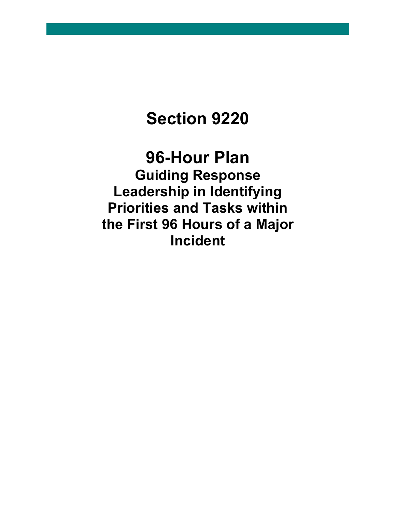# **Section 9220**

# **96-Hour Plan Guiding Response Leadership in Identifying Priorities and Tasks within the First 96 Hours of a Major Incident**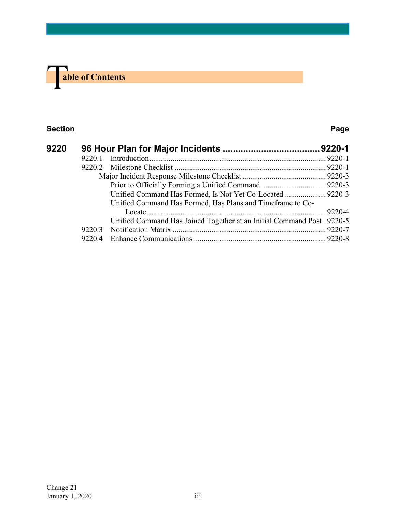

#### **Section Page**

| 9220 |        |                                                                        |  |
|------|--------|------------------------------------------------------------------------|--|
|      | 9220.1 |                                                                        |  |
|      | 9220.2 |                                                                        |  |
|      |        |                                                                        |  |
|      |        |                                                                        |  |
|      |        | Unified Command Has Formed, Is Not Yet Co-Located  9220-3              |  |
|      |        | Unified Command Has Formed, Has Plans and Timeframe to Co-             |  |
|      |        |                                                                        |  |
|      |        | Unified Command Has Joined Together at an Initial Command Post. 9220-5 |  |
|      | 9220.3 |                                                                        |  |
|      | 9220.4 |                                                                        |  |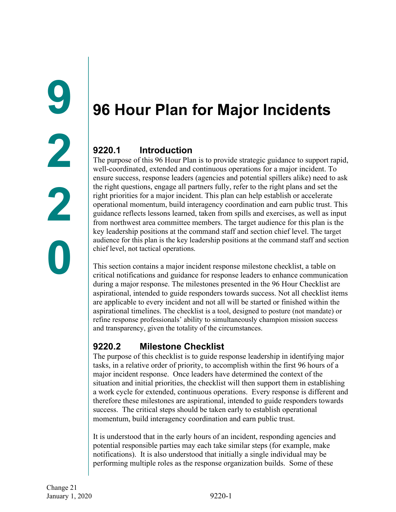# <span id="page-2-1"></span><span id="page-2-0"></span>**96 Hour Plan for Major Incidents**

### <span id="page-2-2"></span>**9220.1 Introduction**

The purpose of this 96 Hour Plan is to provide strategic guidance to support rapid, well-coordinated, extended and continuous operations for a major incident. To ensure success, response leaders (agencies and potential spillers alike) need to ask the right questions, engage all partners fully, refer to the right plans and set the right priorities for a major incident. This plan can help establish or accelerate operational momentum, build interagency coordination and earn public trust. This guidance reflects lessons learned, taken from spills and exercises, as well as input from northwest area committee members. The target audience for this plan is the key leadership positions at the command staff and section chief level. The target audience for this plan is the key leadership positions at the command staff and section chief level, not tactical operations.

This section contains a major incident response milestone checklist, a table on critical notifications and guidance for response leaders to enhance communication during a major response. The milestones presented in the 96 Hour Checklist are aspirational, intended to guide responders towards success. Not all checklist items are applicable to every incident and not all will be started or finished within the aspirational timelines. The checklist is a tool, designed to posture (not mandate) or refine response professionals' ability to simultaneously champion mission success and transparency, given the totality of the circumstances.

## <span id="page-2-3"></span>**9220.2 Milestone Checklist**

The purpose of this checklist is to guide response leadership in identifying major tasks, in a relative order of priority, to accomplish within the first 96 hours of a major incident response. Once leaders have determined the context of the situation and initial priorities, the checklist will then support them in establishing a work cycle for extended, continuous operations. Every response is different and therefore these milestones are aspirational, intended to guide responders towards success. The critical steps should be taken early to establish operational momentum, build interagency coordination and earn public trust.

It is understood that in the early hours of an incident, responding agencies and potential responsible parties may each take similar steps (for example, make notifications). It is also understood that initially a single individual may be performing multiple roles as the response organization builds. Some of these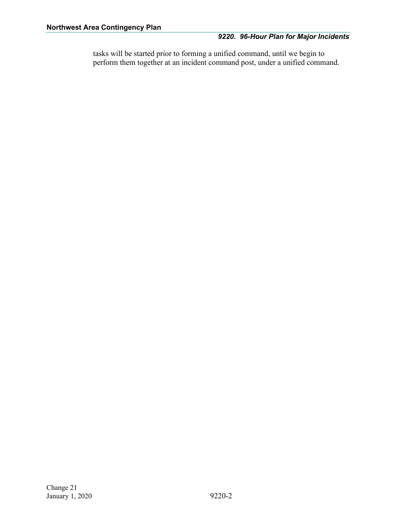#### *9220. 96-Hour Plan for Major Incidents*

tasks will be started prior to forming a unified command, until we begin to perform them together at an incident command post, under a unified command.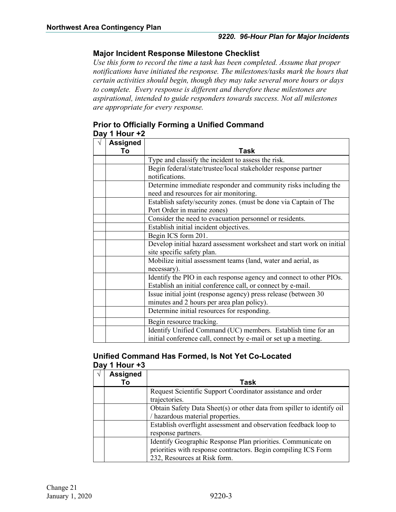#### <span id="page-4-0"></span>**Major Incident Response Milestone Checklist**

*Use this form to record the time a task has been completed. Assume that proper notifications have initiated the response. The milestones/tasks mark the hours that certain activities should begin, though they may take several more hours or days to complete. Every response is different and therefore these milestones are aspirational, intended to guide responders towards success. Not all milestones are appropriate for every response.*

#### <span id="page-4-1"></span>**Prior to Officially Forming a Unified Command Day 1 Hour +2**

| <b>Assigned</b> |                                                                       |  |
|-----------------|-----------------------------------------------------------------------|--|
| Τo              | Task                                                                  |  |
|                 | Type and classify the incident to assess the risk.                    |  |
|                 | Begin federal/state/trustee/local stakeholder response partner        |  |
|                 | notifications.                                                        |  |
|                 | Determine immediate responder and community risks including the       |  |
|                 | need and resources for air monitoring.                                |  |
|                 | Establish safety/security zones. (must be done via Captain of The     |  |
|                 | Port Order in marine zones)                                           |  |
|                 | Consider the need to evacuation personnel or residents.               |  |
|                 | Establish initial incident objectives.                                |  |
|                 | Begin ICS form 201.                                                   |  |
|                 | Develop initial hazard assessment worksheet and start work on initial |  |
|                 | site specific safety plan.                                            |  |
|                 | Mobilize initial assessment teams (land, water and aerial, as         |  |
|                 | necessary).                                                           |  |
|                 | Identify the PIO in each response agency and connect to other PIOs.   |  |
|                 | Establish an initial conference call, or connect by e-mail.           |  |
|                 | Issue initial joint (response agency) press release (between 30       |  |
|                 | minutes and 2 hours per area plan policy).                            |  |
|                 | Determine initial resources for responding.                           |  |
|                 | Begin resource tracking.                                              |  |
|                 | Identify Unified Command (UC) members. Establish time for an          |  |
|                 | initial conference call, connect by e-mail or set up a meeting.       |  |

#### <span id="page-4-2"></span>**Unified Command Has Formed, Is Not Yet Co-Located Day 1 Hour +3**

| <b>Assigned</b> |                                                                        |  |
|-----------------|------------------------------------------------------------------------|--|
| Тο              | Task                                                                   |  |
|                 | Request Scientific Support Coordinator assistance and order            |  |
|                 | trajectories.                                                          |  |
|                 | Obtain Safety Data Sheet(s) or other data from spiller to identify oil |  |
|                 | / hazardous material properties.                                       |  |
|                 | Establish overflight assessment and observation feedback loop to       |  |
|                 | response partners.                                                     |  |
|                 | Identify Geographic Response Plan priorities. Communicate on           |  |
|                 | priorities with response contractors. Begin compiling ICS Form         |  |
|                 | 232, Resources at Risk form.                                           |  |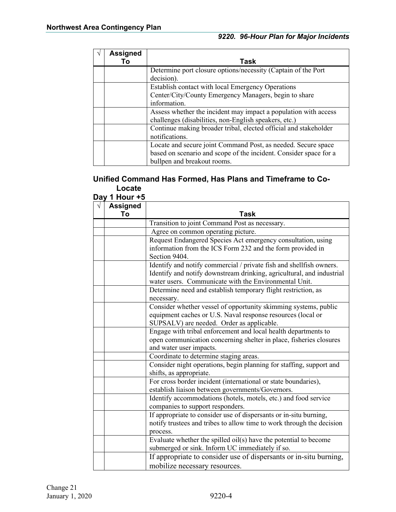| <b>Assigned</b><br>Т٥ | Task                                                              |  |
|-----------------------|-------------------------------------------------------------------|--|
|                       | Determine port closure options/necessity (Captain of the Port     |  |
|                       | decision).                                                        |  |
|                       | Establish contact with local Emergency Operations                 |  |
|                       | Center/City/County Emergency Managers, begin to share             |  |
|                       | information.                                                      |  |
|                       | Assess whether the incident may impact a population with access   |  |
|                       | challenges (disabilities, non-English speakers, etc.)             |  |
|                       | Continue making broader tribal, elected official and stakeholder  |  |
|                       | notifications.                                                    |  |
|                       | Locate and secure joint Command Post, as needed. Secure space     |  |
|                       | based on scenario and scope of the incident. Consider space for a |  |
|                       | bullpen and breakout rooms.                                       |  |

#### <span id="page-5-0"></span>**Unified Command Has Formed, Has Plans and Timeframe to Co-Locate Day 1 Hour +5**

| 1 IVUI<br><b>Assigned</b> |                                                                                                                                                                             |  |
|---------------------------|-----------------------------------------------------------------------------------------------------------------------------------------------------------------------------|--|
| To                        | Task                                                                                                                                                                        |  |
|                           | Transition to joint Command Post as necessary.                                                                                                                              |  |
|                           | Agree on common operating picture.                                                                                                                                          |  |
|                           | Request Endangered Species Act emergency consultation, using                                                                                                                |  |
|                           | information from the ICS Form 232 and the form provided in<br>Section 9404.                                                                                                 |  |
|                           | Identify and notify commercial / private fish and shellfish owners.                                                                                                         |  |
|                           | Identify and notify downstream drinking, agricultural, and industrial<br>water users. Communicate with the Environmental Unit.                                              |  |
|                           | Determine need and establish temporary flight restriction, as<br>necessary.                                                                                                 |  |
|                           | Consider whether vessel of opportunity skimming systems, public<br>equipment caches or U.S. Naval response resources (local or<br>SUPSALV) are needed. Order as applicable. |  |
|                           | Engage with tribal enforcement and local health departments to<br>open communication concerning shelter in place, fisheries closures<br>and water user impacts.             |  |
|                           | Coordinate to determine staging areas.                                                                                                                                      |  |
|                           | Consider night operations, begin planning for staffing, support and<br>shifts, as appropriate.                                                                              |  |
|                           | For cross border incident (international or state boundaries),<br>establish liaison between governments/Governors.                                                          |  |
|                           | Identify accommodations (hotels, motels, etc.) and food service<br>companies to support responders.                                                                         |  |
|                           | If appropriate to consider use of dispersants or in-situ burning,<br>notify trustees and tribes to allow time to work through the decision<br>process.                      |  |
|                           | Evaluate whether the spilled $oil(s)$ have the potential to become<br>submerged or sink. Inform UC immediately if so.                                                       |  |
|                           | If appropriate to consider use of dispersants or in-situ burning,<br>mobilize necessary resources.                                                                          |  |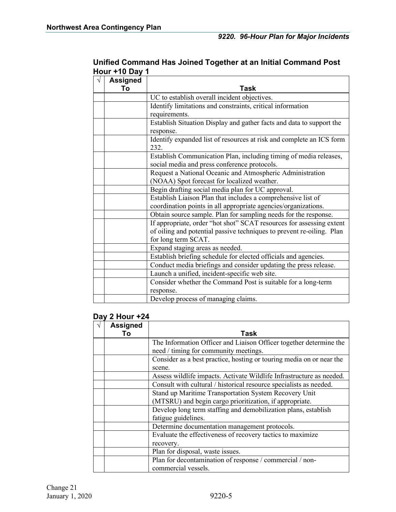| <b>Assigned</b><br>To | Task                                                                              |  |
|-----------------------|-----------------------------------------------------------------------------------|--|
|                       |                                                                                   |  |
|                       | UC to establish overall incident objectives.                                      |  |
|                       | Identify limitations and constraints, critical information                        |  |
|                       | requirements.                                                                     |  |
|                       | Establish Situation Display and gather facts and data to support the<br>response. |  |
|                       | Identify expanded list of resources at risk and complete an ICS form              |  |
|                       | 232.                                                                              |  |
|                       | Establish Communication Plan, including timing of media releases,                 |  |
|                       | social media and press conference protocols.                                      |  |
|                       | Request a National Oceanic and Atmospheric Administration                         |  |
|                       | (NOAA) Spot forecast for localized weather.                                       |  |
|                       | Begin drafting social media plan for UC approval.                                 |  |
|                       | Establish Liaison Plan that includes a comprehensive list of                      |  |
|                       | coordination points in all appropriate agencies/organizations.                    |  |
|                       | Obtain source sample. Plan for sampling needs for the response.                   |  |
|                       | If appropriate, order "hot shot" SCAT resources for assessing extent              |  |
|                       | of oiling and potential passive techniques to prevent re-oiling. Plan             |  |
|                       | for long term SCAT.                                                               |  |
|                       | Expand staging areas as needed.                                                   |  |
|                       | Establish briefing schedule for elected officials and agencies.                   |  |
|                       | Conduct media briefings and consider updating the press release.                  |  |
|                       | Launch a unified, incident-specific web site.                                     |  |
|                       | Consider whether the Command Post is suitable for a long-term                     |  |
|                       | response.                                                                         |  |
|                       | Develop process of managing claims.                                               |  |

#### <span id="page-6-0"></span>**Unified Command Has Joined Together at an Initial Command Post Hour +10 Day 1**

### **Day 2 Hour +24**

| <b>Assigned</b> |                                                                      |  |
|-----------------|----------------------------------------------------------------------|--|
| To              | Task                                                                 |  |
|                 | The Information Officer and Liaison Officer together determine the   |  |
|                 | need / timing for community meetings.                                |  |
|                 | Consider as a best practice, hosting or touring media on or near the |  |
|                 | scene.                                                               |  |
|                 | Assess wildlife impacts. Activate Wildlife Infrastructure as needed. |  |
|                 | Consult with cultural / historical resource specialists as needed.   |  |
|                 | Stand up Maritime Transportation System Recovery Unit                |  |
|                 | (MTSRU) and begin cargo prioritization, if appropriate.              |  |
|                 | Develop long term staffing and demobilization plans, establish       |  |
|                 | fatigue guidelines.                                                  |  |
|                 | Determine documentation management protocols.                        |  |
|                 | Evaluate the effectiveness of recovery tactics to maximize           |  |
|                 | recovery.                                                            |  |
|                 | Plan for disposal, waste issues.                                     |  |
|                 | Plan for decontamination of response / commercial / non-             |  |
|                 | commercial vessels.                                                  |  |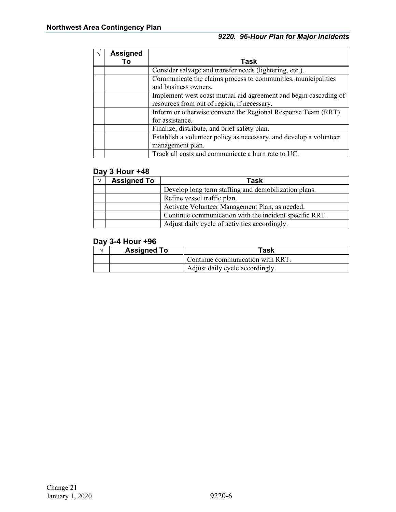| <b>Assigned</b> |                                                                    |  |
|-----------------|--------------------------------------------------------------------|--|
|                 | Task                                                               |  |
|                 | Consider salvage and transfer needs (lightering, etc.).            |  |
|                 | Communicate the claims process to communities, municipalities      |  |
|                 | and business owners.                                               |  |
|                 | Implement west coast mutual aid agreement and begin cascading of   |  |
|                 | resources from out of region, if necessary.                        |  |
|                 | Inform or otherwise convene the Regional Response Team (RRT)       |  |
|                 | for assistance.                                                    |  |
|                 | Finalize, distribute, and brief safety plan.                       |  |
|                 | Establish a volunteer policy as necessary, and develop a volunteer |  |
|                 | management plan.                                                   |  |
|                 | Track all costs and communicate a burn rate to UC.                 |  |

#### **Day 3 Hour +48**

| <b>Assigned To</b> | Task                                                   |  |
|--------------------|--------------------------------------------------------|--|
|                    | Develop long term staffing and demobilization plans.   |  |
|                    | Refine vessel traffic plan.                            |  |
|                    | Activate Volunteer Management Plan, as needed.         |  |
|                    | Continue communication with the incident specific RRT. |  |
|                    | Adjust daily cycle of activities accordingly.          |  |

#### **Day 3-4 Hour +96**

| <b>Assigned To</b>              | Task                             |
|---------------------------------|----------------------------------|
|                                 | Continue communication with RRT. |
| Adjust daily cycle accordingly. |                                  |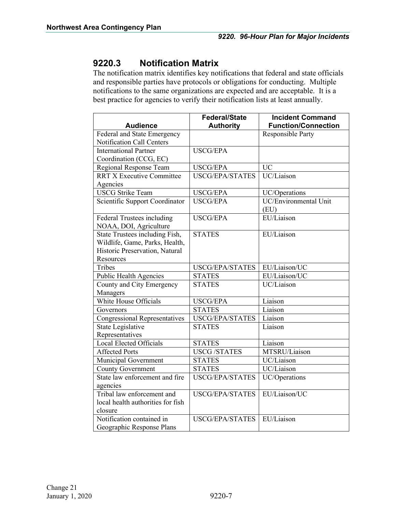### <span id="page-8-0"></span>**9220.3 Notification Matrix**

The notification matrix identifies key notifications that federal and state officials and responsible parties have protocols or obligations for conducting. Multiple notifications to the same organizations are expected and are acceptable. It is a best practice for agencies to verify their notification lists at least annually.

| <b>Audience</b>                      | <b>Federal/State</b><br><b>Authority</b> | <b>Incident Command</b><br><b>Function/Connection</b> |
|--------------------------------------|------------------------------------------|-------------------------------------------------------|
| Federal and State Emergency          |                                          | <b>Responsible Party</b>                              |
| Notification Call Centers            |                                          |                                                       |
| <b>International Partner</b>         | <b>USCG/EPA</b>                          |                                                       |
| Coordination (CCG, EC)               |                                          |                                                       |
| Regional Response Team               | <b>USCG/EPA</b>                          | <b>UC</b>                                             |
| <b>RRT X Executive Committee</b>     | <b>USCG/EPA/STATES</b>                   | UC/Liaison                                            |
| Agencies                             |                                          |                                                       |
| <b>USCG Strike Team</b>              | <b>USCG/EPA</b>                          | UC/Operations                                         |
| Scientific Support Coordinator       | <b>USCG/EPA</b>                          | UC/Environmental Unit                                 |
|                                      |                                          | (EU)                                                  |
| Federal Trustees including           | <b>USCG/EPA</b>                          | EU/Liaison                                            |
| NOAA, DOI, Agriculture               |                                          |                                                       |
| State Trustees including Fish,       | <b>STATES</b>                            | EU/Liaison                                            |
| Wildlife, Game, Parks, Health,       |                                          |                                                       |
| Historic Preservation, Natural       |                                          |                                                       |
| Resources                            |                                          |                                                       |
| Tribes                               | USCG/EPA/STATES                          | EU/Liaison/UC                                         |
| Public Health Agencies               | <b>STATES</b>                            | EU/Liaison/UC                                         |
| County and City Emergency            | <b>STATES</b>                            | UC/Liaison                                            |
| Managers                             |                                          |                                                       |
| White House Officials                | <b>USCG/EPA</b>                          | Liaison                                               |
| Governors                            | <b>STATES</b>                            | Liaison                                               |
| <b>Congressional Representatives</b> | <b>USCG/EPA/STATES</b>                   | Liaison                                               |
| <b>State Legislative</b>             | <b>STATES</b>                            | Liaison                                               |
| Representatives                      |                                          |                                                       |
| Local Elected Officials              | <b>STATES</b>                            | Liaison                                               |
| <b>Affected Ports</b>                | <b>USCG/STATES</b>                       | MTSRU/Liaison                                         |
| Municipal Government                 | <b>STATES</b>                            | UC/Liaison                                            |
| <b>County Government</b>             | <b>STATES</b>                            | UC/Liaison                                            |
| State law enforcement and fire       | <b>USCG/EPA/STATES</b>                   | UC/Operations                                         |
| agencies                             |                                          |                                                       |
| Tribal law enforcement and           | <b>USCG/EPA/STATES</b>                   | EU/Liaison/UC                                         |
| local health authorities for fish    |                                          |                                                       |
| closure                              |                                          |                                                       |
| Notification contained in            | <b>USCG/EPA/STATES</b>                   | EU/Liaison                                            |
| Geographic Response Plans            |                                          |                                                       |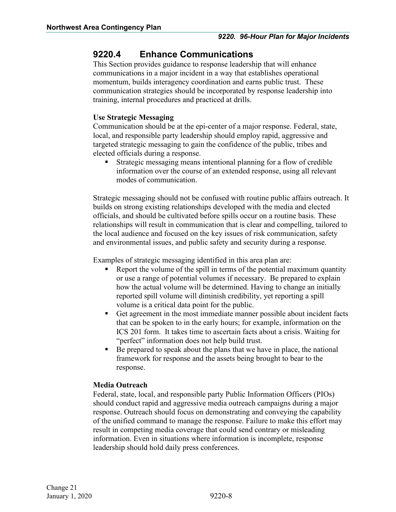### <span id="page-9-0"></span>**9220.4 Enhance Communications**

This Section provides guidance to response leadership that will enhance communications in a major incident in a way that establishes operational momentum, builds interagency coordination and earns public trust. These communication strategies should be incorporated by response leadership into training, internal procedures and practiced at drills.

#### **Use Strategic Messaging**

Communication should be at the epi-center of a major response. Federal, state, local, and responsible party leadership should employ rapid, aggressive and targeted strategic messaging to gain the confidence of the public, tribes and elected officials during a response.

 Strategic messaging means intentional planning for a flow of credible information over the course of an extended response, using all relevant modes of communication.

Strategic messaging should not be confused with routine public affairs outreach. It builds on strong existing relationships developed with the media and elected officials, and should be cultivated before spills occur on a routine basis. These relationships will result in communication that is clear and compelling, tailored to the local audience and focused on the key issues of risk communication, safety and environmental issues, and public safety and security during a response.

Examples of strategic messaging identified in this area plan are:

- Report the volume of the spill in terms of the potential maximum quantity or use a range of potential volumes if necessary. Be prepared to explain how the actual volume will be determined. Having to change an initially reported spill volume will diminish credibility, yet reporting a spill volume is a critical data point for the public.
- Get agreement in the most immediate manner possible about incident facts that can be spoken to in the early hours; for example, information on the ICS 201 form. It takes time to ascertain facts about a crisis. Waiting for "perfect" information does not help build trust.
- Be prepared to speak about the plans that we have in place, the national framework for response and the assets being brought to bear to the response.

#### **Media Outreach**

Federal, state, local, and responsible party Public Information Officers (PIOs) should conduct rapid and aggressive media outreach campaigns during a major response. Outreach should focus on demonstrating and conveying the capability of the unified command to manage the response. Failure to make this effort may result in competing media coverage that could send contrary or misleading information. Even in situations where information is incomplete, response leadership should hold daily press conferences.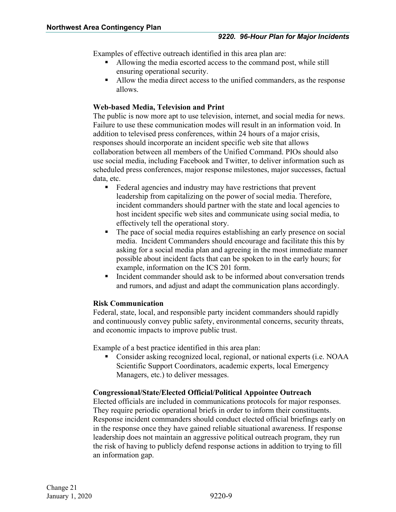Examples of effective outreach identified in this area plan are:

- Allowing the media escorted access to the command post, while still ensuring operational security.
- Allow the media direct access to the unified commanders, as the response allows.

#### **Web-based Media, Television and Print**

The public is now more apt to use television, internet, and social media for news. Failure to use these communication modes will result in an information void. In addition to televised press conferences, within 24 hours of a major crisis, responses should incorporate an incident specific web site that allows collaboration between all members of the Unified Command. PIOs should also use social media, including Facebook and Twitter, to deliver information such as scheduled press conferences, major response milestones, major successes, factual data, etc.

- Federal agencies and industry may have restrictions that prevent leadership from capitalizing on the power of social media. Therefore, incident commanders should partner with the state and local agencies to host incident specific web sites and communicate using social media, to effectively tell the operational story.
- The pace of social media requires establishing an early presence on social media. Incident Commanders should encourage and facilitate this this by asking for a social media plan and agreeing in the most immediate manner possible about incident facts that can be spoken to in the early hours; for example, information on the ICS 201 form.
- Incident commander should ask to be informed about conversation trends and rumors, and adjust and adapt the communication plans accordingly.

#### **Risk Communication**

Federal, state, local, and responsible party incident commanders should rapidly and continuously convey public safety, environmental concerns, security threats, and economic impacts to improve public trust.

Example of a best practice identified in this area plan:

 Consider asking recognized local, regional, or national experts (i.e. NOAA Scientific Support Coordinators, academic experts, local Emergency Managers, etc.) to deliver messages.

#### **Congressional/State/Elected Official/Political Appointee Outreach**

Elected officials are included in communications protocols for major responses. They require periodic operational briefs in order to inform their constituents. Response incident commanders should conduct elected official briefings early on in the response once they have gained reliable situational awareness. If response leadership does not maintain an aggressive political outreach program, they run the risk of having to publicly defend response actions in addition to trying to fill an information gap.